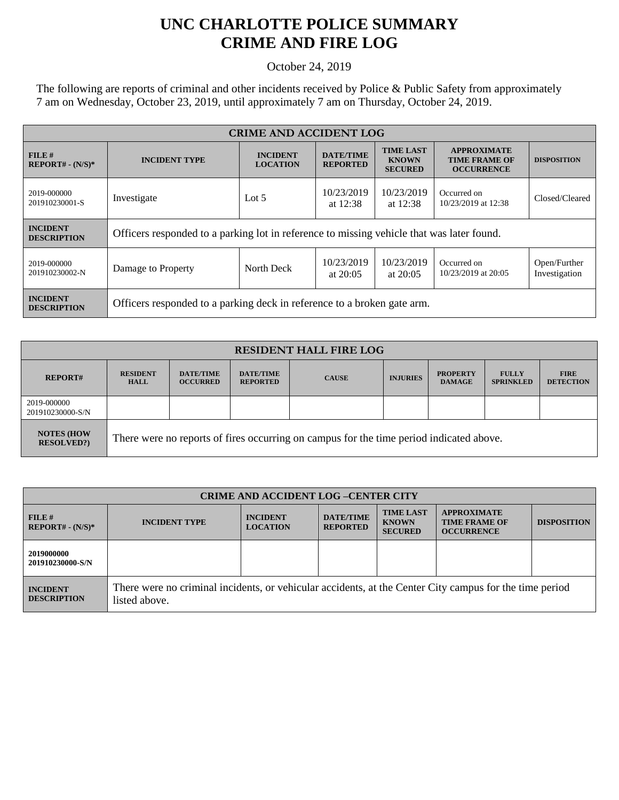## **UNC CHARLOTTE POLICE SUMMARY CRIME AND FIRE LOG**

October 24, 2019

The following are reports of criminal and other incidents received by Police & Public Safety from approximately 7 am on Wednesday, October 23, 2019, until approximately 7 am on Thursday, October 24, 2019.

| <b>CRIME AND ACCIDENT LOG</b>         |                                                                                           |                                    |                                     |                                                    |                                                                 |                               |  |
|---------------------------------------|-------------------------------------------------------------------------------------------|------------------------------------|-------------------------------------|----------------------------------------------------|-----------------------------------------------------------------|-------------------------------|--|
| $FILE$ #<br>$REPORT# - (N/S)*$        | <b>INCIDENT TYPE</b>                                                                      | <b>INCIDENT</b><br><b>LOCATION</b> | <b>DATE/TIME</b><br><b>REPORTED</b> | <b>TIME LAST</b><br><b>KNOWN</b><br><b>SECURED</b> | <b>APPROXIMATE</b><br><b>TIME FRAME OF</b><br><b>OCCURRENCE</b> | <b>DISPOSITION</b>            |  |
| 2019-000000<br>201910230001-S         | Investigate                                                                               | Lot $5$                            | 10/23/2019<br>at $12:38$            | 10/23/2019<br>at $12:38$                           | Occurred on<br>10/23/2019 at 12:38                              | Closed/Cleared                |  |
| <b>INCIDENT</b><br><b>DESCRIPTION</b> | Officers responded to a parking lot in reference to missing vehicle that was later found. |                                    |                                     |                                                    |                                                                 |                               |  |
| 2019-000000<br>201910230002-N         | Damage to Property                                                                        | North Deck                         | 10/23/2019<br>at $20:05$            | 10/23/2019<br>at $20:05$                           | Occurred on<br>10/23/2019 at 20:05                              | Open/Further<br>Investigation |  |
| <b>INCIDENT</b><br><b>DESCRIPTION</b> | Officers responded to a parking deck in reference to a broken gate arm.                   |                                    |                                     |                                                    |                                                                 |                               |  |

| <b>RESIDENT HALL FIRE LOG</b>         |                                                                                         |                                     |                                     |              |                 |                                  |                                  |                                 |
|---------------------------------------|-----------------------------------------------------------------------------------------|-------------------------------------|-------------------------------------|--------------|-----------------|----------------------------------|----------------------------------|---------------------------------|
| <b>REPORT#</b>                        | <b>RESIDENT</b><br><b>HALL</b>                                                          | <b>DATE/TIME</b><br><b>OCCURRED</b> | <b>DATE/TIME</b><br><b>REPORTED</b> | <b>CAUSE</b> | <b>INJURIES</b> | <b>PROPERTY</b><br><b>DAMAGE</b> | <b>FULLY</b><br><b>SPRINKLED</b> | <b>FIRE</b><br><b>DETECTION</b> |
| 2019-000000<br>201910230000-S/N       |                                                                                         |                                     |                                     |              |                 |                                  |                                  |                                 |
| <b>NOTES (HOW</b><br><b>RESOLVED?</b> | There were no reports of fires occurring on campus for the time period indicated above. |                                     |                                     |              |                 |                                  |                                  |                                 |

| <b>CRIME AND ACCIDENT LOG-CENTER CITY</b> |                                                                                                                          |                                    |                                     |                                                    |                                                                 |                    |
|-------------------------------------------|--------------------------------------------------------------------------------------------------------------------------|------------------------------------|-------------------------------------|----------------------------------------------------|-----------------------------------------------------------------|--------------------|
| FILE#<br>$REPORT# - (N/S)*$               | <b>INCIDENT TYPE</b>                                                                                                     | <b>INCIDENT</b><br><b>LOCATION</b> | <b>DATE/TIME</b><br><b>REPORTED</b> | <b>TIME LAST</b><br><b>KNOWN</b><br><b>SECURED</b> | <b>APPROXIMATE</b><br><b>TIME FRAME OF</b><br><b>OCCURRENCE</b> | <b>DISPOSITION</b> |
| 2019000000<br>201910230000-S/N            |                                                                                                                          |                                    |                                     |                                                    |                                                                 |                    |
| <b>INCIDENT</b><br><b>DESCRIPTION</b>     | There were no criminal incidents, or vehicular accidents, at the Center City campus for the time period<br>listed above. |                                    |                                     |                                                    |                                                                 |                    |